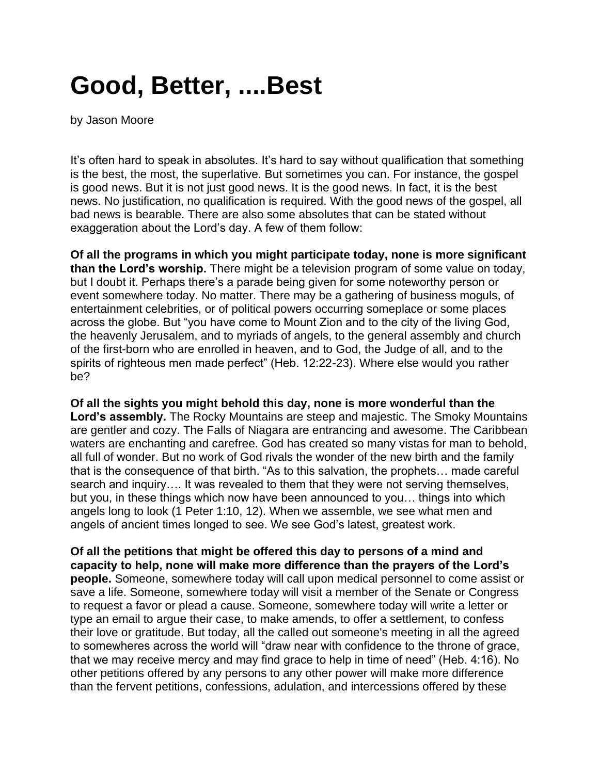## **Good, Better, ....Best**

by Jason Moore

It's often hard to speak in absolutes. It's hard to say without qualification that something is the best, the most, the superlative. But sometimes you can. For instance, the gospel is good news. But it is not just good news. It is the good news. In fact, it is the best news. No justification, no qualification is required. With the good news of the gospel, all bad news is bearable. There are also some absolutes that can be stated without exaggeration about the Lord's day. A few of them follow:

**Of all the programs in which you might participate today, none is more significant than the Lord's worship.** There might be a television program of some value on today, but I doubt it. Perhaps there's a parade being given for some noteworthy person or event somewhere today. No matter. There may be a gathering of business moguls, of entertainment celebrities, or of political powers occurring someplace or some places across the globe. But "you have come to Mount Zion and to the city of the living God, the heavenly Jerusalem, and to myriads of angels, to the general assembly and church of the first-born who are enrolled in heaven, and to God, the Judge of all, and to the spirits of righteous men made perfect" (Heb. 12:22-23). Where else would you rather be?

**Of all the sights you might behold this day, none is more wonderful than the Lord's assembly.** The Rocky Mountains are steep and majestic. The Smoky Mountains are gentler and cozy. The Falls of Niagara are entrancing and awesome. The Caribbean waters are enchanting and carefree. God has created so many vistas for man to behold, all full of wonder. But no work of God rivals the wonder of the new birth and the family that is the consequence of that birth. "As to this salvation, the prophets… made careful search and inquiry…. It was revealed to them that they were not serving themselves, but you, in these things which now have been announced to you… things into which angels long to look (1 Peter 1:10, 12). When we assemble, we see what men and angels of ancient times longed to see. We see God's latest, greatest work.

**Of all the petitions that might be offered this day to persons of a mind and capacity to help, none will make more difference than the prayers of the Lord's people.** Someone, somewhere today will call upon medical personnel to come assist or save a life. Someone, somewhere today will visit a member of the Senate or Congress to request a favor or plead a cause. Someone, somewhere today will write a letter or type an email to argue their case, to make amends, to offer a settlement, to confess their love or gratitude. But today, all the called out someone's meeting in all the agreed to somewheres across the world will "draw near with confidence to the throne of grace, that we may receive mercy and may find grace to help in time of need" (Heb. 4:16). No other petitions offered by any persons to any other power will make more difference than the fervent petitions, confessions, adulation, and intercessions offered by these